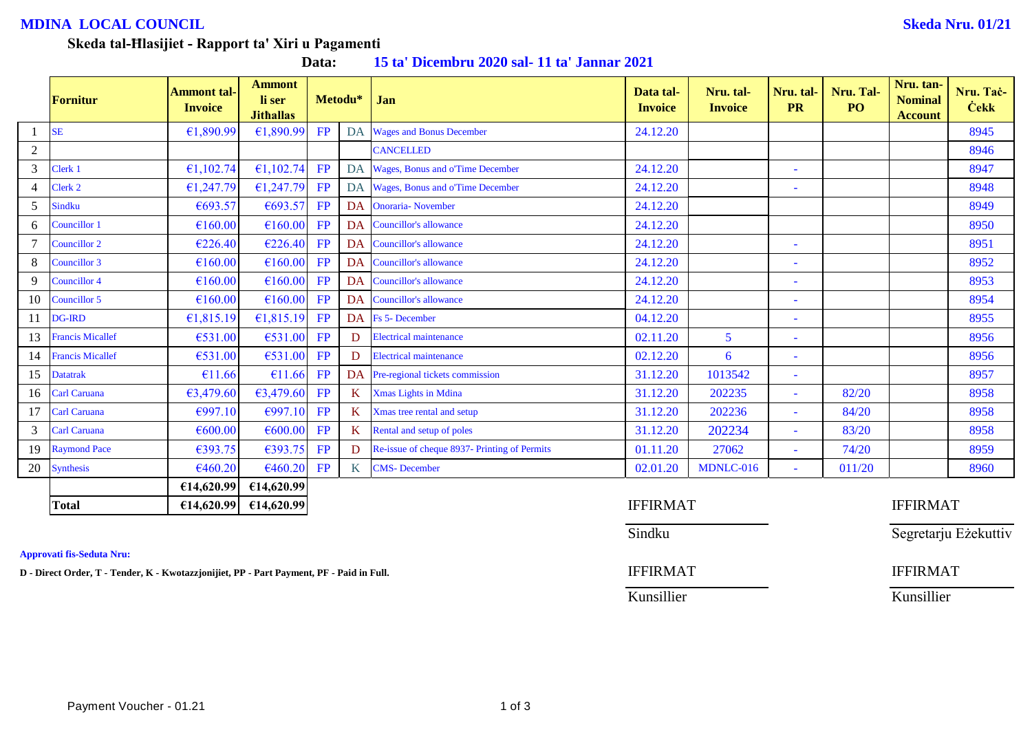# **MDINA LOCAL COUNCIL Skeda Nru. 01/21**

### **Skeda tal-Ħlasijiet - Rapport ta' Xiri u Pagamenti**

| Data: | 15 ta' Dicembru 2020 sal-11 ta' Jannar 2021 |  |  |
|-------|---------------------------------------------|--|--|
|-------|---------------------------------------------|--|--|

|                | Fornitur                | <b>Ammont tal-</b><br><b>Invoice</b> | <b>Ammont</b><br>li ser<br><b>Jithallas</b> |    | Metodu*         | Jan                                          | Data tal-<br><b>Invoice</b> | Nru. tal-<br><b>Invoice</b> | Nru. tal-<br><b>PR</b>   | Nru. Tal-<br>P <sub>O</sub> | Nru. tan-<br><b>Nominal</b><br><b>Account</b> | Nru. Taċ-<br><b>Cekk</b> |
|----------------|-------------------------|--------------------------------------|---------------------------------------------|----|-----------------|----------------------------------------------|-----------------------------|-----------------------------|--------------------------|-----------------------------|-----------------------------------------------|--------------------------|
|                | <b>SE</b>               | €1,890.99                            | €1,890.99                                   | FP | DA              | <b>Wages and Bonus December</b>              | 24.12.20                    |                             |                          |                             |                                               | 8945                     |
| 2              |                         |                                      |                                             |    |                 | <b>CANCELLED</b>                             |                             |                             |                          |                             |                                               | 8946                     |
| 3              | Clerk 1                 | €1,102.74                            | €1,102.74                                   | FP | DA              | Wages, Bonus and o'Time December             | 24.12.20                    |                             | $\sim$                   |                             |                                               | 8947                     |
| $\overline{4}$ | Clerk 2                 | £1,247.79                            | £1,247.79                                   | FP |                 | DA Wages, Bonus and o'Time December          | 24.12.20                    |                             | $\overline{\phantom{a}}$ |                             |                                               | 8948                     |
| 5              | Sindku                  | €693.57                              | €693.57                                     | FP | DA              | <b>Onoraria-</b> November                    | 24.12.20                    |                             |                          |                             |                                               | 8949                     |
| 6              | <b>Councillor 1</b>     | €160.00                              | €160.00                                     | FP | <b>DA</b>       | <b>Councillor's allowance</b>                | 24.12.20                    |                             |                          |                             |                                               | 8950                     |
|                | Councillor 2            | €226.40                              | €226.40                                     | FP |                 | DA Councillor's allowance                    | 24.12.20                    |                             | ۰                        |                             |                                               | 8951                     |
| 8              | Councillor 3            | €160.00                              | €160.00                                     | FP | DA              | <b>Councillor's allowance</b>                | 24.12.20                    |                             |                          |                             |                                               | 8952                     |
| 9              | <b>Councillor 4</b>     | €160.00                              | €160.00                                     | FP |                 | DA Councillor's allowance                    | 24.12.20                    |                             | $\sim$                   |                             |                                               | 8953                     |
| 10             | Councillor 5            | €160.00                              | €160.00                                     | FP |                 | DA Councillor's allowance                    | 24.12.20                    |                             | $\blacksquare$           |                             |                                               | 8954                     |
| 11             | <b>DG-IRD</b>           | £1,815.19                            | £1,815.19                                   | FP | <b>DA</b>       | <b>Fs</b> 5- December                        | 04.12.20                    |                             |                          |                             |                                               | 8955                     |
| 13             | <b>Francis Micallef</b> | €531.00                              | €531.00                                     | FP | D               | <b>Electrical maintenance</b>                | 02.11.20                    | 5                           | $\sim$                   |                             |                                               | 8956                     |
| 14             | <b>Francis Micallef</b> | €531.00                              | €531.00                                     | FP | D               | <b>Electrical maintenance</b>                | 02.12.20                    | 6                           | ٠                        |                             |                                               | 8956                     |
| 15             | <b>Datatrak</b>         | €11.66                               | €11.66                                      | FP | DA              | Pre-regional tickets commission              | 31.12.20                    | 1013542                     | $\sim$                   |                             |                                               | 8957                     |
| 16             | <b>Carl Caruana</b>     | €3,479.60                            | €3,479.60                                   | FP | K               | Xmas Lights in Mdina                         | 31.12.20                    | 202235                      | $\sim$                   | 82/20                       |                                               | 8958                     |
| 17             | Carl Caruana            | €997.10                              | €997.10                                     | FP | K               | Xmas tree rental and setup                   | 31.12.20                    | 202236                      | $\bar{\phantom{a}}$      | 84/20                       |                                               | 8958                     |
| 3              | <b>Carl Caruana</b>     | €600.00                              | €600.00                                     | FP | K               | Rental and setup of poles                    | 31.12.20                    | 202234                      | ٠                        | 83/20                       |                                               | 8958                     |
| 19             | <b>Raymond Pace</b>     | €393.75                              | €393.75                                     | FP | D               | Re-issue of cheque 8937- Printing of Permits | 01.11.20                    | 27062                       | ٠                        | 74/20                       |                                               | 8959                     |
| 20             | <b>Synthesis</b>        | €460.20                              | €460.20                                     | FP | $K_{\parallel}$ | <b>CMS-December</b>                          | 02.01.20                    | MDNLC-016                   | ÷                        | 011/20                      |                                               | 8960                     |
|                |                         | €14,620.99                           | €14,620.99                                  |    |                 |                                              |                             |                             |                          |                             |                                               |                          |
|                | <b>Total</b>            | £14,620.99                           | E14,620.99                                  |    |                 |                                              | <b>IFFIRMAT</b>             |                             |                          |                             | <b>IFFIRMAT</b>                               |                          |

### **Approvati fis-Seduta Nru:**

**D** - Direct Order, T - Tender, K - Kwotazzjonijiet, PP - Part Payment, PF - Paid in Full. **IFFIRMAT** IFFIRMAT

Sindku Sindku Segretarju Eżekuttiv

Kunsillier Kunsillier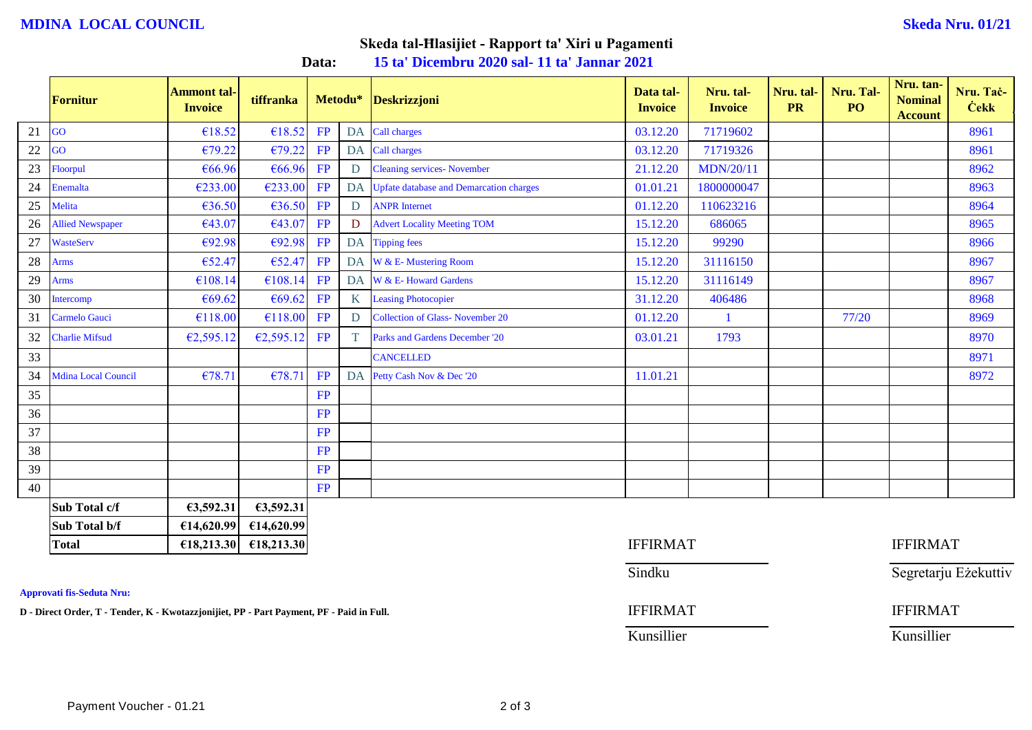## **MDINA LOCAL COUNCIL Skeda Nru. 01/21**

# **Skeda tal-Ħlasijiet - Rapport ta' Xiri u Pagamenti**

**Data: 15 ta' Dicembru 2020 sal- 11 ta' Jannar 2021**

|        | Fornitur                   | <b>Ammont tal-</b><br><b>Invoice</b> | tiffranka  |           | Metodu*          | <b>Deskrizzjoni</b>                        | Data tal-<br><b>Invoice</b> | Nru. tal-<br><b>Invoice</b> | Nru. tal-<br><b>PR</b> | Nru. Tal-<br>PO <sub>1</sub> | Nru. tan-<br><b>Nominal</b><br><b>Account</b> | Nru. Taċ-<br><b>Cekk</b> |
|--------|----------------------------|--------------------------------------|------------|-----------|------------------|--------------------------------------------|-----------------------------|-----------------------------|------------------------|------------------------------|-----------------------------------------------|--------------------------|
| 21     | GO                         | €18.52                               | €18.52     | <b>FP</b> |                  | DA Call charges                            | 03.12.20                    | 71719602                    |                        |                              |                                               | 8961                     |
| $22\,$ | GO                         | €79.22                               | €79.22     | FP        |                  | DA Call charges                            | 03.12.20                    | 71719326                    |                        |                              |                                               | 8961                     |
| 23     | Floorpul                   | €66.96                               | €66.96     | FP        | D                | <b>Cleaning services- November</b>         | 21.12.20                    | <b>MDN/20/11</b>            |                        |                              |                                               | 8962                     |
| $24\,$ | <b>Enemalta</b>            | €233.00                              | €233.00    | FP        |                  | DA Upfate database and Demarcation charges | 01.01.21                    | 1800000047                  |                        |                              |                                               | 8963                     |
| 25     | Melita                     | €36.50                               | €36.50     | FP        | D                | <b>ANPR</b> Internet                       | 01.12.20                    | 110623216                   |                        |                              |                                               | 8964                     |
| 26     | <b>Allied Newspaper</b>    | €43.07                               | €43.07     | FP        | D                | <b>Advert Locality Meeting TOM</b>         | 15.12.20                    | 686065                      |                        |                              |                                               | 8965                     |
| 27     | <b>WasteServ</b>           | €92.98                               | €92.98     | FP        |                  | DA Tipping fees                            | 15.12.20                    | 99290                       |                        |                              |                                               | 8966                     |
| 28     | <b>Arms</b>                | €52.47                               | €52.47     | FP        |                  | DA W & E-Mustering Room                    | 15.12.20                    | 31116150                    |                        |                              |                                               | 8967                     |
| 29     | <b>Arms</b>                | €108.14                              | €108.14    | <b>FP</b> |                  | DA W & E-Howard Gardens                    | 15.12.20                    | 31116149                    |                        |                              |                                               | 8967                     |
| 30     | Intercomp                  | €69.62                               | €69.62     | <b>FP</b> | $K_{\mathbb{R}}$ | <b>Leasing Photocopier</b>                 | 31.12.20                    | 406486                      |                        |                              |                                               | 8968                     |
| 31     | <b>Carmelo Gauci</b>       | €118.00                              | €118.00    | FP        | D                | <b>Collection of Glass-November 20</b>     | 01.12.20                    | $\mathbf 1$                 |                        | 77/20                        |                                               | 8969                     |
| 32     | <b>Charlie Mifsud</b>      | €2,595.12                            | £2,595.12  | <b>FP</b> | T.               | Parks and Gardens December '20             | 03.01.21                    | 1793                        |                        |                              |                                               | 8970                     |
| 33     |                            |                                      |            |           |                  | <b>CANCELLED</b>                           |                             |                             |                        |                              |                                               | 8971                     |
| 34     | <b>Mdina Local Council</b> | €78.71                               | €78.71     | FP        |                  | DA Petty Cash Nov & Dec '20                | 11.01.21                    |                             |                        |                              |                                               | 8972                     |
| 35     |                            |                                      |            | FP        |                  |                                            |                             |                             |                        |                              |                                               |                          |
| 36     |                            |                                      |            | FP        |                  |                                            |                             |                             |                        |                              |                                               |                          |
| 37     |                            |                                      |            | FP        |                  |                                            |                             |                             |                        |                              |                                               |                          |
| 38     |                            |                                      |            | <b>FP</b> |                  |                                            |                             |                             |                        |                              |                                               |                          |
| 39     |                            |                                      |            | <b>FP</b> |                  |                                            |                             |                             |                        |                              |                                               |                          |
| 40     |                            |                                      |            | <b>FP</b> |                  |                                            |                             |                             |                        |                              |                                               |                          |
|        | Sub Total c/f              | €3,592.31                            | 63,592.31  |           |                  |                                            |                             |                             |                        |                              |                                               |                          |
|        | Sub Total b/f              | €14,620.99                           | €14,620.99 |           |                  |                                            |                             |                             |                        |                              |                                               |                          |
|        | <b>Total</b>               | £18,213.30                           | £18,213.30 |           |                  |                                            | <b>IFFIRMAT</b>             |                             |                        |                              | <b>IFFIRMAT</b>                               |                          |

**Approvati fis-Seduta Nru:**

**D** - Direct Order, T - Tender, K - Kwotazzjonijiet, PP - Part Payment, PF - Paid in Full. **IFFIRMAT** IFFIRMAT

Sindku Sindku Segretarju Eżekuttiv

Kunsillier Kunsillier